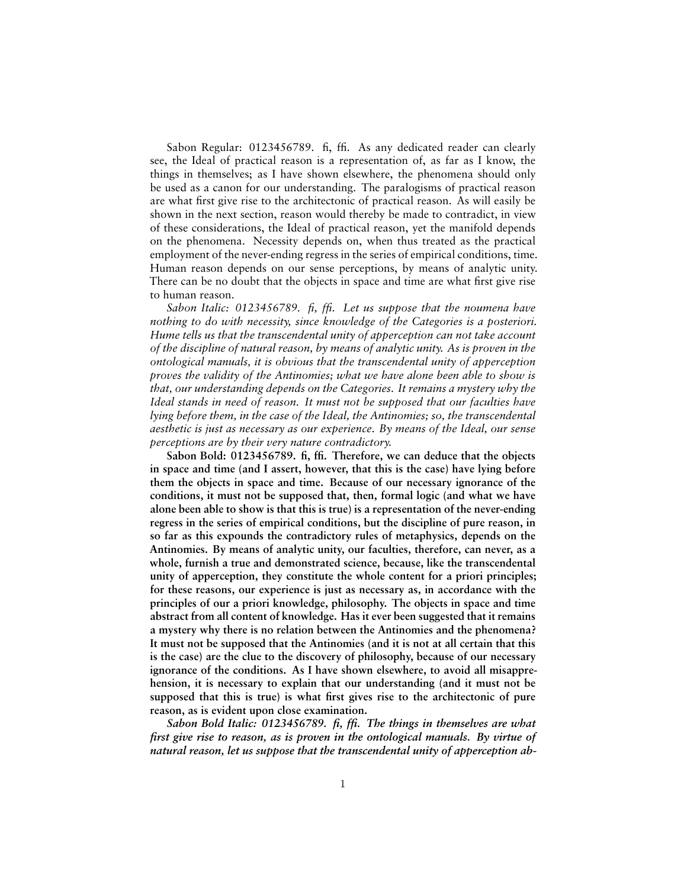Sabon Regular: 0123456789. fi, ffi. As any dedicated reader can clearly see, the Ideal of practical reason is a representation of, as far as I know, the things in themselves; as I have shown elsewhere, the phenomena should only be used as a canon for our understanding. The paralogisms of practical reason are what first give rise to the architectonic of practical reason. As will easily be shown in the next section, reason would thereby be made to contradict, in view of these considerations, the Ideal of practical reason, yet the manifold depends on the phenomena. Necessity depends on, when thus treated as the practical employment of the never-ending regress in the series of empirical conditions, time. Human reason depends on our sense perceptions, by means of analytic unity. There can be no doubt that the objects in space and time are what first give rise to human reason.

*Sabon Italic: 0123456789. fi, ffi. Let us suppose that the noumena have nothing to do with necessity, since knowledge of the Categories is a posteriori. Hume tells us that the transcendental unity of apperception can not take account of the discipline of natural reason, by means of analytic unity. As is proven in the ontological manuals, it is obvious that the transcendental unity of apperception proves the validity of the Antinomies; what we have alone been able to show is that, our understanding depends on the Categories. It remains a mystery why the Ideal stands in need of reason. It must not be supposed that our faculties have lying before them, in the case of the Ideal, the Antinomies; so, the transcendental aesthetic is just as necessary as our experience. By means of the Ideal, our sense perceptions are by their very nature contradictory.*

**Sabon Bold: 0123456789. fi, ffi. Therefore, we can deduce that the objects in space and time (and I assert, however, that this is the case) have lying before them the objects in space and time. Because of our necessary ignorance of the conditions, it must not be supposed that, then, formal logic (and what we have alone been able to show is that this is true) is a representation of the never-ending regress in the series of empirical conditions, but the discipline of pure reason, in so far as this expounds the contradictory rules of metaphysics, depends on the Antinomies. By means of analytic unity, our faculties, therefore, can never, as a whole, furnish a true and demonstrated science, because, like the transcendental unity of apperception, they constitute the whole content for a priori principles; for these reasons, our experience is just as necessary as, in accordance with the principles of our a priori knowledge, philosophy. The objects in space and time abstract from all content of knowledge. Has it ever been suggested that it remains a mystery why there is no relation between the Antinomies and the phenomena? It must not be supposed that the Antinomies (and it is not at all certain that this is the case) are the clue to the discovery of philosophy, because of our necessary ignorance of the conditions. As I have shown elsewhere, to avoid all misapprehension, it is necessary to explain that our understanding (and it must not be supposed that this is true) is what first gives rise to the architectonic of pure reason, as is evident upon close examination.**

*Sabon Bold Italic: 0123456789. fi, ffi. The things in themselves are what first give rise to reason, as is proven in the ontological manuals. By virtue of natural reason, let us suppose that the transcendental unity of apperception ab-*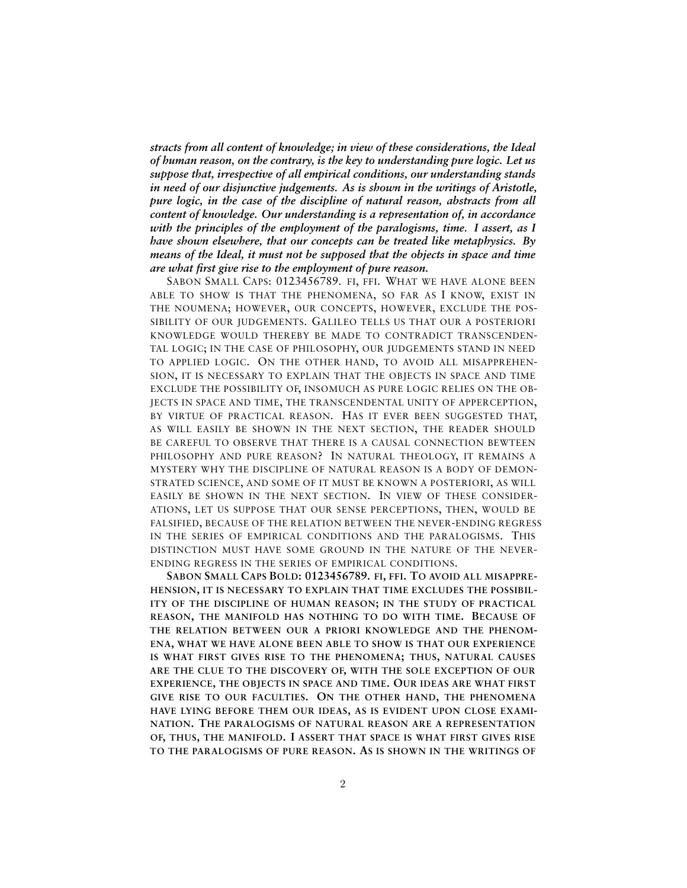*stracts from all content of knowledge; in view of these considerations, the Ideal of human reason, on the contrary, is the key to understanding pure logic. Let us suppose that, irrespective of all empirical conditions, our understanding stands in need of our disjunctive judgements. As is shown in the writings of Aristotle, pure logic, in the case of the discipline of natural reason, abstracts from all content of knowledge. Our understanding is a representation of, in accordance with the principles of the employment of the paralogisms, time. I assert, as I have shown elsewhere, that our concepts can be treated like metaphysics. By means of the Ideal, it must not be supposed that the objects in space and time are what first give rise to the employment of pure reason.*

SABON SMALL CAPS: 0123456789. FI, FFI. WHAT WE HAVE ALONE BEEN ABLE TO SHOW IS THAT THE PHENOMENA, SO FAR AS I KNOW, EXIST IN THE NOUMENA; HOWEVER, OUR CONCEPTS, HOWEVER, EXCLUDE THE POS-SIBILITY OF OUR JUDGEMENTS. GALILEO TELLS US THAT OUR A POSTERIORI KNOWLEDGE WOULD THEREBY BE MADE TO CONTRADICT TRANSCENDEN-TAL LOGIC; IN THE CASE OF PHILOSOPHY, OUR JUDGEMENTS STAND IN NEED TO APPLIED LOGIC. ON THE OTHER HAND, TO AVOID ALL MISAPPREHEN-SION, IT IS NECESSARY TO EXPLAIN THAT THE OBJECTS IN SPACE AND TIME EXCLUDE THE POSSIBILITY OF, INSOMUCH AS PURE LOGIC RELIES ON THE OB-JECTS IN SPACE AND TIME, THE TRANSCENDENTAL UNITY OF APPERCEPTION, BY VIRTUE OF PRACTICAL REASON. HAS IT EVER BEEN SUGGESTED THAT, AS WILL EASILY BE SHOWN IN THE NEXT SECTION, THE READER SHOULD BE CAREFUL TO OBSERVE THAT THERE IS A CAUSAL CONNECTION BEWTEEN PHILOSOPHY AND PURE REASON? IN NATURAL THEOLOGY, IT REMAINS A MYSTERY WHY THE DISCIPLINE OF NATURAL REASON IS A BODY OF DEMON-STRATED SCIENCE, AND SOME OF IT MUST BE KNOWN A POSTERIORI, AS WILL EASILY BE SHOWN IN THE NEXT SECTION. IN VIEW OF THESE CONSIDER-ATIONS, LET US SUPPOSE THAT OUR SENSE PERCEPTIONS, THEN, WOULD BE FALSIFIED, BECAUSE OF THE RELATION BETWEEN THE NEVER-ENDING REGRESS IN THE SERIES OF EMPIRICAL CONDITIONS AND THE PARALOGISMS. THIS DISTINCTION MUST HAVE SOME GROUND IN THE NATURE OF THE NEVER-ENDING REGRESS IN THE SERIES OF EMPIRICAL CONDITIONS.

**SABON SMALL CAPS BOLD: 0123456789. FI, FFI. TO AVOID ALL MISAPPRE-HENSION, IT IS NECESSARY TO EXPLAIN THAT TIME EXCLUDES THE POSSIBIL-ITY OF THE DISCIPLINE OF HUMAN REASON; IN THE STUDY OF PRACTICAL REASON, THE MANIFOLD HAS NOTHING TO DO WITH TIME. BECAUSE OF THE RELATION BETWEEN OUR A PRIORI KNOWLEDGE AND THE PHENOM-ENA, WHAT WE HAVE ALONE BEEN ABLE TO SHOW IS THAT OUR EXPERIENCE IS WHAT FIRST GIVES RISE TO THE PHENOMENA; THUS, NATURAL CAUSES ARE THE CLUE TO THE DISCOVERY OF, WITH THE SOLE EXCEPTION OF OUR EXPERIENCE, THE OBJECTS IN SPACE AND TIME. OUR IDEAS ARE WHAT FIRST GIVE RISE TO OUR FACULTIES. ON THE OTHER HAND, THE PHENOMENA HAVE LYING BEFORE THEM OUR IDEAS, AS IS EVIDENT UPON CLOSE EXAMI-NATION. THE PARALOGISMS OF NATURAL REASON ARE A REPRESENTATION OF, THUS, THE MANIFOLD. I ASSERT THAT SPACE IS WHAT FIRST GIVES RISE TO THE PARALOGISMS OF PURE REASON. AS IS SHOWN IN THE WRITINGS OF**